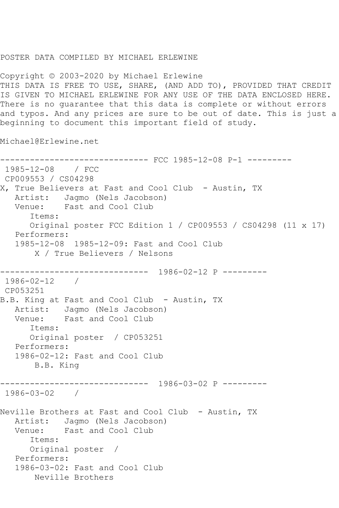## POSTER DATA COMPILED BY MICHAEL ERLEWINE

Copyright © 2003-2020 by Michael Erlewine THIS DATA IS FREE TO USE, SHARE, (AND ADD TO), PROVIDED THAT CREDIT IS GIVEN TO MICHAEL ERLEWINE FOR ANY USE OF THE DATA ENCLOSED HERE. There is no guarantee that this data is complete or without errors and typos. And any prices are sure to be out of date. This is just a beginning to document this important field of study.

Michael@Erlewine.net

------------------------------ FCC 1985-12-08 P-1 --------- 1985-12-08 / FCC CP009553 / CS04298 X, True Believers at Fast and Cool Club - Austin, TX Artist: Jagmo (Nels Jacobson) Venue: Fast and Cool Club Items: Original poster FCC Edition 1 / CP009553 / CS04298 (11 x 17) Performers: 1985-12-08 1985-12-09: Fast and Cool Club X / True Believers / Nelsons ------------------------------ 1986-02-12 P --------- 1986-02-12 / CP053251 B.B. King at Fast and Cool Club - Austin, TX Artist: Jagmo (Nels Jacobson) Venue: Fast and Cool Club Items: Original poster / CP053251 Performers: 1986-02-12: Fast and Cool Club B.B. King ------------------------------ 1986-03-02 P --------- 1986-03-02 / Neville Brothers at Fast and Cool Club - Austin, TX Artist: Jagmo (Nels Jacobson) Venue: Fast and Cool Club Items: Original poster / Performers: 1986-03-02: Fast and Cool Club Neville Brothers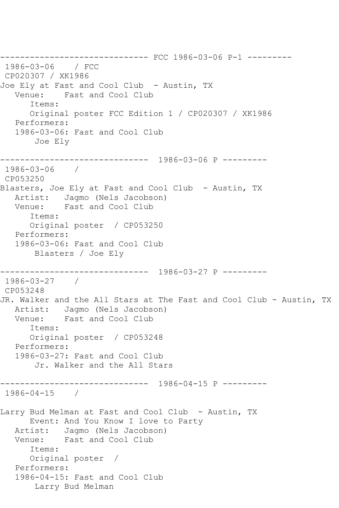------------------------------ FCC 1986-03-06 P-1 --------- 1986-03-06 / FCC CP020307 / XK1986 Joe Ely at Fast and Cool Club - Austin, TX Venue: Fast and Cool Club Items: Original poster FCC Edition 1 / CP020307 / XK1986 Performers: 1986-03-06: Fast and Cool Club Joe Ely ------------------------------ 1986-03-06 P --------- 1986-03-06 / CP053250 Blasters, Joe Ely at Fast and Cool Club - Austin, TX Artist: Jagmo (Nels Jacobson) Venue: Fast and Cool Club Items: Original poster / CP053250 Performers: 1986-03-06: Fast and Cool Club Blasters / Joe Ely ------------------------------ 1986-03-27 P --------- 1986-03-27 / CP053248 JR. Walker and the All Stars at The Fast and Cool Club - Austin, TX Artist: Jagmo (Nels Jacobson) Venue: Fast and Cool Club Items: Original poster / CP053248 Performers: 1986-03-27: Fast and Cool Club Jr. Walker and the All Stars ------------------------------ 1986-04-15 P --------- 1986-04-15 / Larry Bud Melman at Fast and Cool Club - Austin, TX Event: And You Know I love to Party Artist: Jagmo (Nels Jacobson) Venue: Fast and Cool Club Items: Original poster / Performers: 1986-04-15: Fast and Cool Club Larry Bud Melman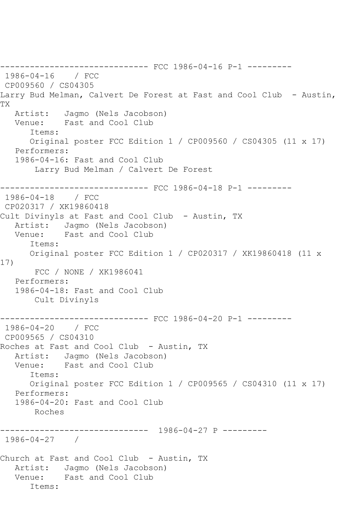------------------------------ FCC 1986-04-16 P-1 --------- 1986-04-16 / FCC CP009560 / CS04305 Larry Bud Melman, Calvert De Forest at Fast and Cool Club - Austin, TX Artist: Jagmo (Nels Jacobson) Venue: Fast and Cool Club Items: Original poster FCC Edition 1 / CP009560 / CS04305 (11 x 17) Performers: 1986-04-16: Fast and Cool Club Larry Bud Melman / Calvert De Forest ------------------------------ FCC 1986-04-18 P-1 --------- 1986-04-18 / FCC CP020317 / XK19860418 Cult Divinyls at Fast and Cool Club - Austin, TX Artist: Jagmo (Nels Jacobson) Venue: Fast and Cool Club Items: Original poster FCC Edition 1 / CP020317 / XK19860418 (11 x 17) FCC / NONE / XK1986041 Performers: 1986-04-18: Fast and Cool Club Cult Divinyls ----------- FCC 1986-04-20 P-1 ---------1986-04-20 / FCC CP009565 / CS04310 Roches at Fast and Cool Club - Austin, TX Artist: Jagmo (Nels Jacobson)<br>Venue: Fast and Cool Club Fast and Cool Club Items: Original poster FCC Edition 1 / CP009565 / CS04310 (11 x 17) Performers: 1986-04-20: Fast and Cool Club Roches ------------------------------ 1986-04-27 P --------- 1986-04-27 / Church at Fast and Cool Club - Austin, TX Artist: Jagmo (Nels Jacobson) Venue: Fast and Cool Club Items: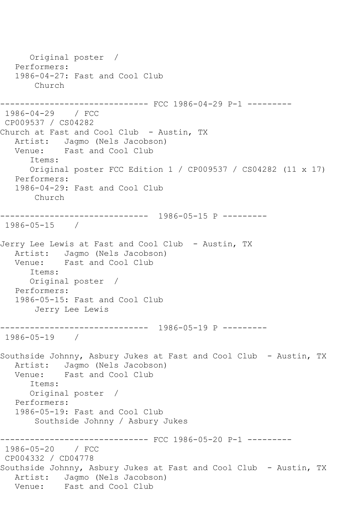Original poster / Performers: 1986-04-27: Fast and Cool Club Church --------- FCC 1986-04-29 P-1 ---------1986-04-29 / FCC CP009537 / CS04282 Church at Fast and Cool Club - Austin, TX Artist: Jagmo (Nels Jacobson)<br>Venue: Fast and Cool Club Fast and Cool Club Items: Original poster FCC Edition 1 / CP009537 / CS04282 (11 x 17) Performers: 1986-04-29: Fast and Cool Club Church ------------------------------ 1986-05-15 P --------- 1986-05-15 / Jerry Lee Lewis at Fast and Cool Club - Austin, TX Artist: Jagmo (Nels Jacobson) Venue: Fast and Cool Club Items: Original poster / Performers: 1986-05-15: Fast and Cool Club Jerry Lee Lewis ------------------------------ 1986-05-19 P --------- 1986-05-19 / Southside Johnny, Asbury Jukes at Fast and Cool Club - Austin, TX Artist: Jagmo (Nels Jacobson) Venue: Fast and Cool Club Items: Original poster / Performers: 1986-05-19: Fast and Cool Club Southside Johnny / Asbury Jukes ------------------------------ FCC 1986-05-20 P-1 --------- 1986-05-20 / FCC CP004332 / CD04778 Southside Johnny, Asbury Jukes at Fast and Cool Club - Austin, TX Artist: Jagmo (Nels Jacobson)<br>Venue: Fast and Cool Club Fast and Cool Club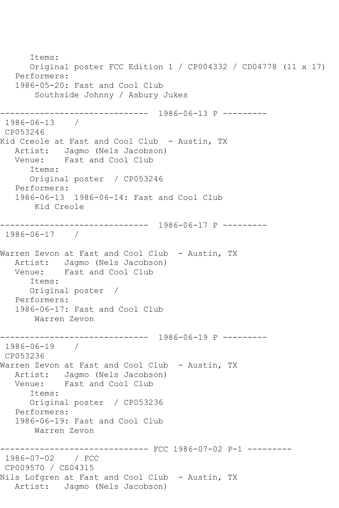Items: Original poster FCC Edition 1 / CP004332 / CD04778 (11 x 17) Performers: 1986-05-20: Fast and Cool Club Southside Johnny / Asbury Jukes ------------------------------ 1986-06-13 P --------- 1986-06-13 / CP053246 Kid Creole at Fast and Cool Club - Austin, TX Artist: Jagmo (Nels Jacobson) Venue: Fast and Cool Club Items: Original poster / CP053246 Performers: 1986-06-13 1986-06-14: Fast and Cool Club Kid Creole ------------------------------ 1986-06-17 P --------- 1986-06-17 / Warren Zevon at Fast and Cool Club - Austin, TX Artist: Jagmo (Nels Jacobson)<br>Venue: Fast and Cool Club Fast and Cool Club Items: Original poster / Performers: 1986-06-17: Fast and Cool Club Warren Zevon ------------------------------ 1986-06-19 P --------- 1986-06-19 / CP053236 Warren Zevon at Fast and Cool Club - Austin, TX Artist: Jagmo (Nels Jacobson) Venue: Fast and Cool Club Items: Original poster / CP053236 Performers: 1986-06-19: Fast and Cool Club Warren Zevon ------------------------------ FCC 1986-07-02 P-1 --------- 1986-07-02 / FCC CP009570 / CS04315 Nils Lofgren at Fast and Cool Club - Austin, TX Artist: Jagmo (Nels Jacobson)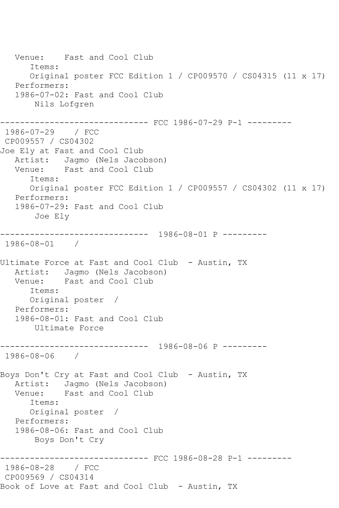Venue: Fast and Cool Club Items: Original poster FCC Edition 1 / CP009570 / CS04315 (11 x 17) Performers: 1986-07-02: Fast and Cool Club Nils Lofgren ------------------------------ FCC 1986-07-29 P-1 --------- 1986-07-29 / FCC CP009557 / CS04302 Joe Ely at Fast and Cool Club Artist: Jagmo (Nels Jacobson)<br>Venue: Fast and Cool Club Fast and Cool Club Items: Original poster FCC Edition 1 / CP009557 / CS04302 (11 x 17) Performers: 1986-07-29: Fast and Cool Club Joe Ely ------------------------------ 1986-08-01 P --------- 1986-08-01 / Ultimate Force at Fast and Cool Club - Austin, TX Artist: Jagmo (Nels Jacobson) Venue: Fast and Cool Club Items: Original poster / Performers: 1986-08-01: Fast and Cool Club Ultimate Force ------------------------------ 1986-08-06 P --------- 1986-08-06 / Boys Don't Cry at Fast and Cool Club - Austin, TX Artist: Jagmo (Nels Jacobson)<br>Venue: Fast and Cool Club Fast and Cool Club Items: Original poster / Performers: 1986-08-06: Fast and Cool Club Boys Don't Cry ------------------------------ FCC 1986-08-28 P-1 --------- 1986-08-28 / FCC CP009569 / CS04314 Book of Love at Fast and Cool Club - Austin, TX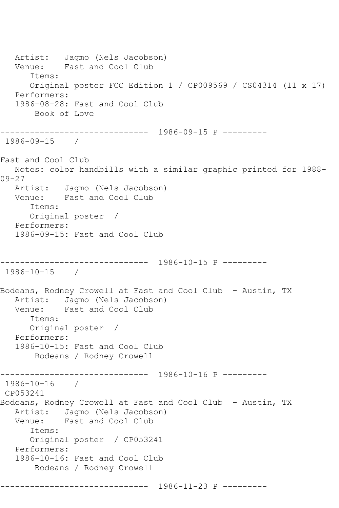Artist: Jagmo (Nels Jacobson) Venue: Fast and Cool Club Items: Original poster FCC Edition 1 / CP009569 / CS04314 (11 x 17) Performers: 1986-08-28: Fast and Cool Club Book of Love ------------------------------ 1986-09-15 P --------- 1986-09-15 / Fast and Cool Club Notes: color handbills with a similar graphic printed for 1988- 09-27 Artist: Jagmo (Nels Jacobson) Venue: Fast and Cool Club Items: Original poster / Performers: 1986-09-15: Fast and Cool Club ------------------------------ 1986-10-15 P --------- 1986-10-15 / Bodeans, Rodney Crowell at Fast and Cool Club - Austin, TX Artist: Jagmo (Nels Jacobson) Venue: Fast and Cool Club Items: Original poster / Performers: 1986-10-15: Fast and Cool Club Bodeans / Rodney Crowell ------------------------------ 1986-10-16 P --------- 1986-10-16 / CP053241 Bodeans, Rodney Crowell at Fast and Cool Club - Austin, TX Artist: Jagmo (Nels Jacobson)<br>Venue: Fast and Cool Club Fast and Cool Club Items: Original poster / CP053241 Performers: 1986-10-16: Fast and Cool Club Bodeans / Rodney Crowell ------------------------------ 1986-11-23 P ---------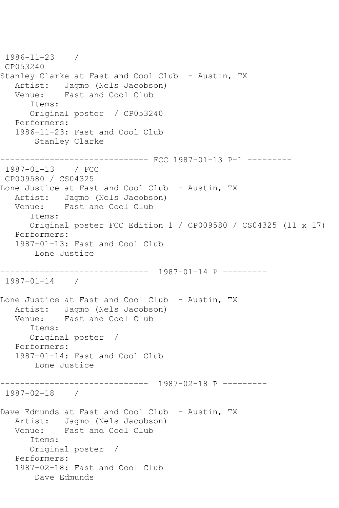```
1986-11-23 / 
CP053240
Stanley Clarke at Fast and Cool Club - Austin, TX
  Artist: Jagmo (Nels Jacobson)<br>Venue: Fast and Cool Club
            Fast and Cool Club
       Items:
      Original poster / CP053240
   Performers:
   1986-11-23: Fast and Cool Club
        Stanley Clarke
------------------------------ FCC 1987-01-13 P-1 ---------
1987-01-13 / FCC 
CP009580 / CS04325
Lone Justice at Fast and Cool Club - Austin, TX
   Artist: Jagmo (Nels Jacobson)
   Venue: Fast and Cool Club
       Items:
       Original poster FCC Edition 1 / CP009580 / CS04325 (11 x 17)
   Performers:
   1987-01-13: Fast and Cool Club
        Lone Justice
------------------------------ 1987-01-14 P ---------
1987-01-14 / 
Lone Justice at Fast and Cool Club - Austin, TX
   Artist: Jagmo (Nels Jacobson)
   Venue: Fast and Cool Club
       Items:
      Original poster / 
   Performers:
   1987-01-14: Fast and Cool Club
       Lone Justice
------------------------------ 1987-02-18 P ---------
1987-02-18 / 
Dave Edmunds at Fast and Cool Club - Austin, TX
   Artist: Jagmo (Nels Jacobson)
   Venue: Fast and Cool Club
       Items:
       Original poster / 
   Performers:
   1987-02-18: Fast and Cool Club
        Dave Edmunds
```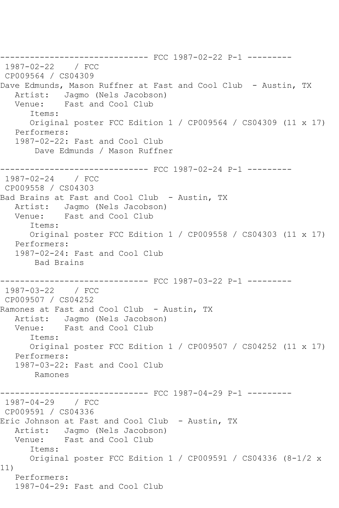--------------------------------- FCC 1987-02-22 P-1 ----------<br>1987-02-22 / FCC  $1987 - 02 - 22$ CP009564 / CS04309 Dave Edmunds, Mason Ruffner at Fast and Cool Club - Austin, TX Artist: Jagmo (Nels Jacobson) Venue: Fast and Cool Club Items: Original poster FCC Edition 1 / CP009564 / CS04309 (11 x 17) Performers: 1987-02-22: Fast and Cool Club Dave Edmunds / Mason Ruffner ------------------------------ FCC 1987-02-24 P-1 --------- 1987-02-24 / FCC CP009558 / CS04303 Bad Brains at Fast and Cool Club - Austin, TX Artist: Jagmo (Nels Jacobson) Venue: Fast and Cool Club Items: Original poster FCC Edition 1 / CP009558 / CS04303 (11 x 17) Performers: 1987-02-24: Fast and Cool Club Bad Brains ------------------------------ FCC 1987-03-22 P-1 --------- 1987-03-22 / FCC CP009507 / CS04252 Ramones at Fast and Cool Club - Austin, TX Artist: Jagmo (Nels Jacobson) Venue: Fast and Cool Club Items: Original poster FCC Edition 1 / CP009507 / CS04252 (11 x 17) Performers: 1987-03-22: Fast and Cool Club Ramones ------------------------------ FCC 1987-04-29 P-1 --------- 1987-04-29 / FCC CP009591 / CS04336 Eric Johnson at Fast and Cool Club - Austin, TX Artist: Jagmo (Nels Jacobson) Venue: Fast and Cool Club Items: Original poster FCC Edition 1 / CP009591 / CS04336 (8-1/2 x 11) Performers: 1987-04-29: Fast and Cool Club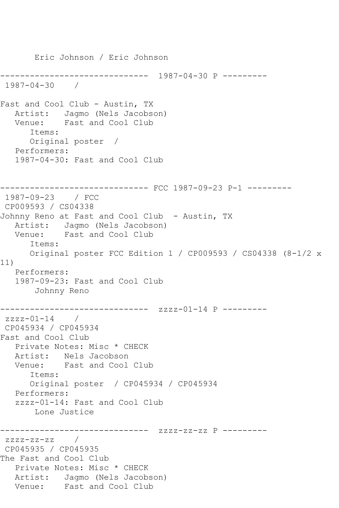Eric Johnson / Eric Johnson ------------------------------ 1987-04-30 P --------- 1987-04-30 / Fast and Cool Club - Austin, TX Artist: Jagmo (Nels Jacobson) Venue: Fast and Cool Club Items: Original poster / Performers: 1987-04-30: Fast and Cool Club ------------------------------ FCC 1987-09-23 P-1 --------- 1987-09-23 / FCC CP009593 / CS04338 Johnny Reno at Fast and Cool Club - Austin, TX Artist: Jagmo (Nels Jacobson) Venue: Fast and Cool Club Items: Original poster FCC Edition 1 / CP009593 / CS04338 (8-1/2 x 11) Performers: 1987-09-23: Fast and Cool Club Johnny Reno ------------------------------ zzzz-01-14 P -------- zzzz-01-14 / CP045934 / CP045934 Fast and Cool Club Private Notes: Misc \* CHECK Artist: Nels Jacobson<br>Venue: Fast and Cool Fast and Cool Club Items: Original poster / CP045934 / CP045934 Performers: zzzz-01-14: Fast and Cool Club Lone Justice ------------------------------ zzzz-zz-zz P --------  $zzzz-zz-zz$  / CP045935 / CP045935 The Fast and Cool Club Private Notes: Misc \* CHECK Artist: Jagmo (Nels Jacobson) Venue: Fast and Cool Club